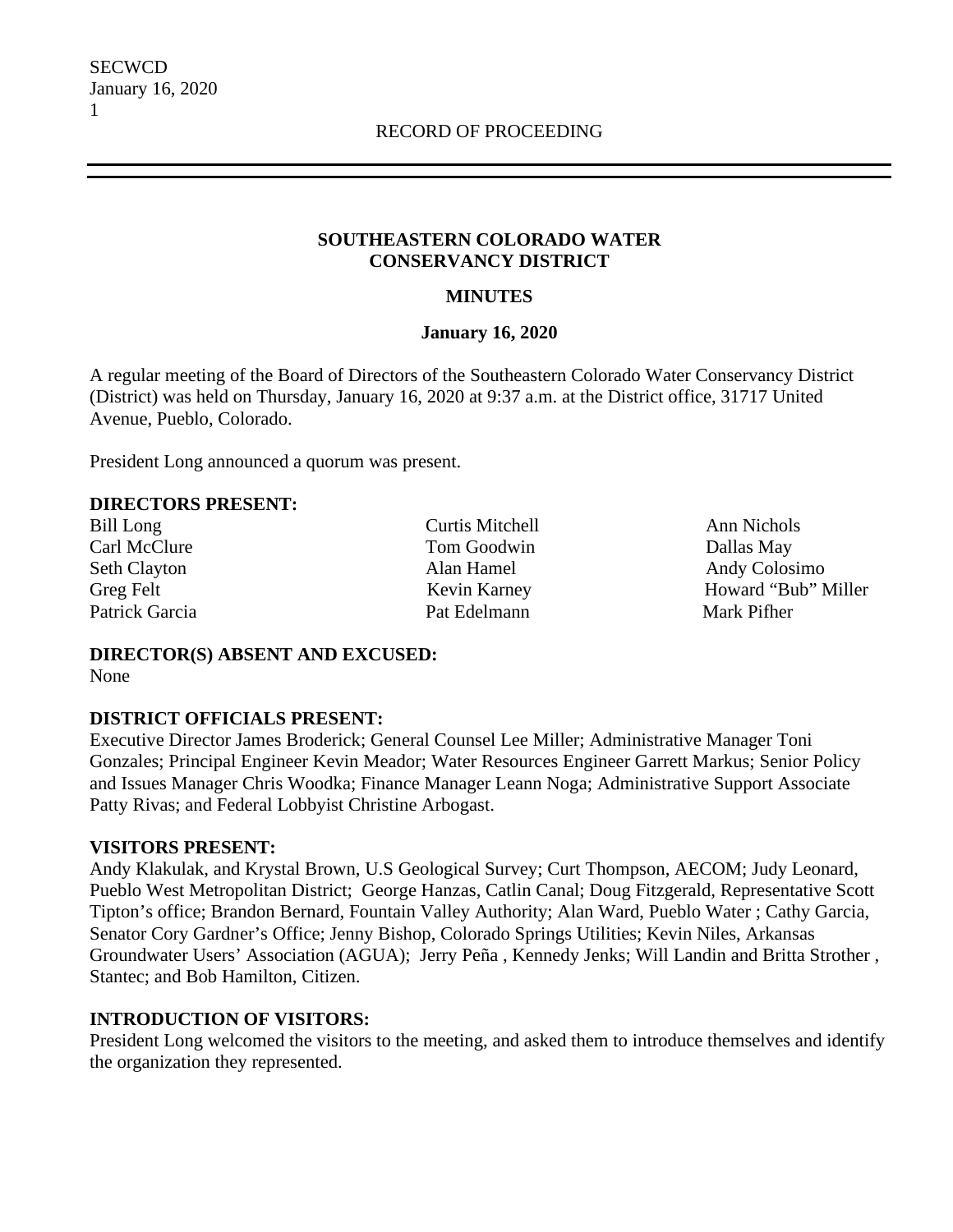### **SOUTHEASTERN COLORADO WATER CONSERVANCY DISTRICT**

## **MINUTES**

### **January 16, 2020**

A regular meeting of the Board of Directors of the Southeastern Colorado Water Conservancy District (District) was held on Thursday, January 16, 2020 at 9:37 a.m. at the District office, 31717 United Avenue, Pueblo, Colorado.

President Long announced a quorum was present.

### **DIRECTORS PRESENT:**

Bill Long Curtis Mitchell Ann Nichols Carl McClure Tom Goodwin Dallas May Patrick Garcia **Pat Edelmann** Mark Pifher

Seth Clayton Alan Hamel Alan Hamel Andy Colosimo Greg Felt Kevin Karney Howard "Bub" Miller

#### **DIRECTOR(S) ABSENT AND EXCUSED:** None

# **DISTRICT OFFICIALS PRESENT:**

Executive Director James Broderick; General Counsel Lee Miller; Administrative Manager Toni Gonzales; Principal Engineer Kevin Meador; Water Resources Engineer Garrett Markus; Senior Policy and Issues Manager Chris Woodka; Finance Manager Leann Noga; Administrative Support Associate Patty Rivas; and Federal Lobbyist Christine Arbogast.

### **VISITORS PRESENT:**

Andy Klakulak, and Krystal Brown, U.S Geological Survey; Curt Thompson, AECOM; Judy Leonard, Pueblo West Metropolitan District; George Hanzas, Catlin Canal; Doug Fitzgerald, Representative Scott Tipton's office; Brandon Bernard, Fountain Valley Authority; Alan Ward, Pueblo Water ; Cathy Garcia, Senator Cory Gardner's Office; Jenny Bishop, Colorado Springs Utilities; Kevin Niles, Arkansas Groundwater Users' Association (AGUA); Jerry Peña , Kennedy Jenks; Will Landin and Britta Strother , Stantec; and Bob Hamilton, Citizen.

# **INTRODUCTION OF VISITORS:**

President Long welcomed the visitors to the meeting, and asked them to introduce themselves and identify the organization they represented.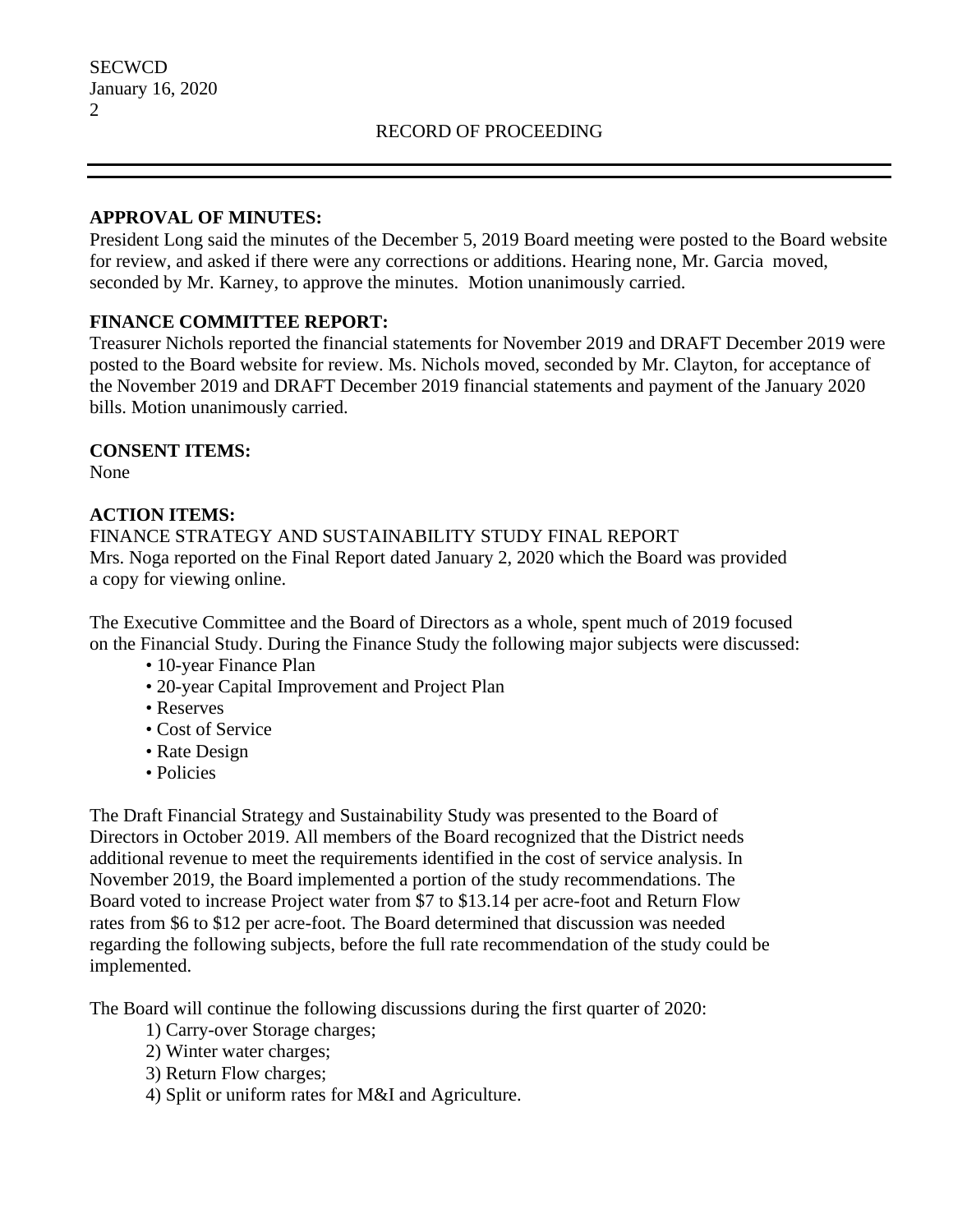## **APPROVAL OF MINUTES:**

President Long said the minutes of the December 5, 2019 Board meeting were posted to the Board website for review, and asked if there were any corrections or additions. Hearing none, Mr. Garcia moved, seconded by Mr. Karney, to approve the minutes. Motion unanimously carried.

## **FINANCE COMMITTEE REPORT:**

Treasurer Nichols reported the financial statements for November 2019 and DRAFT December 2019 were posted to the Board website for review. Ms. Nichols moved, seconded by Mr. Clayton, for acceptance of the November 2019 and DRAFT December 2019 financial statements and payment of the January 2020 bills. Motion unanimously carried.

### **CONSENT ITEMS:**

None

#### **ACTION ITEMS:**

FINANCE STRATEGY AND SUSTAINABILITY STUDY FINAL REPORT Mrs. Noga reported on the Final Report dated January 2, 2020 which the Board was provided a copy for viewing online.

The Executive Committee and the Board of Directors as a whole, spent much of 2019 focused on the Financial Study. During the Finance Study the following major subjects were discussed:

- 10-year Finance Plan
- 20-year Capital Improvement and Project Plan
- Reserves
- Cost of Service
- Rate Design
- Policies

The Draft Financial Strategy and Sustainability Study was presented to the Board of Directors in October 2019. All members of the Board recognized that the District needs additional revenue to meet the requirements identified in the cost of service analysis. In November 2019, the Board implemented a portion of the study recommendations. The Board voted to increase Project water from \$7 to \$13.14 per acre-foot and Return Flow rates from \$6 to \$12 per acre-foot. The Board determined that discussion was needed regarding the following subjects, before the full rate recommendation of the study could be implemented.

The Board will continue the following discussions during the first quarter of 2020:

- 1) Carry-over Storage charges;
- 2) Winter water charges;
- 3) Return Flow charges;
- 4) Split or uniform rates for M&I and Agriculture.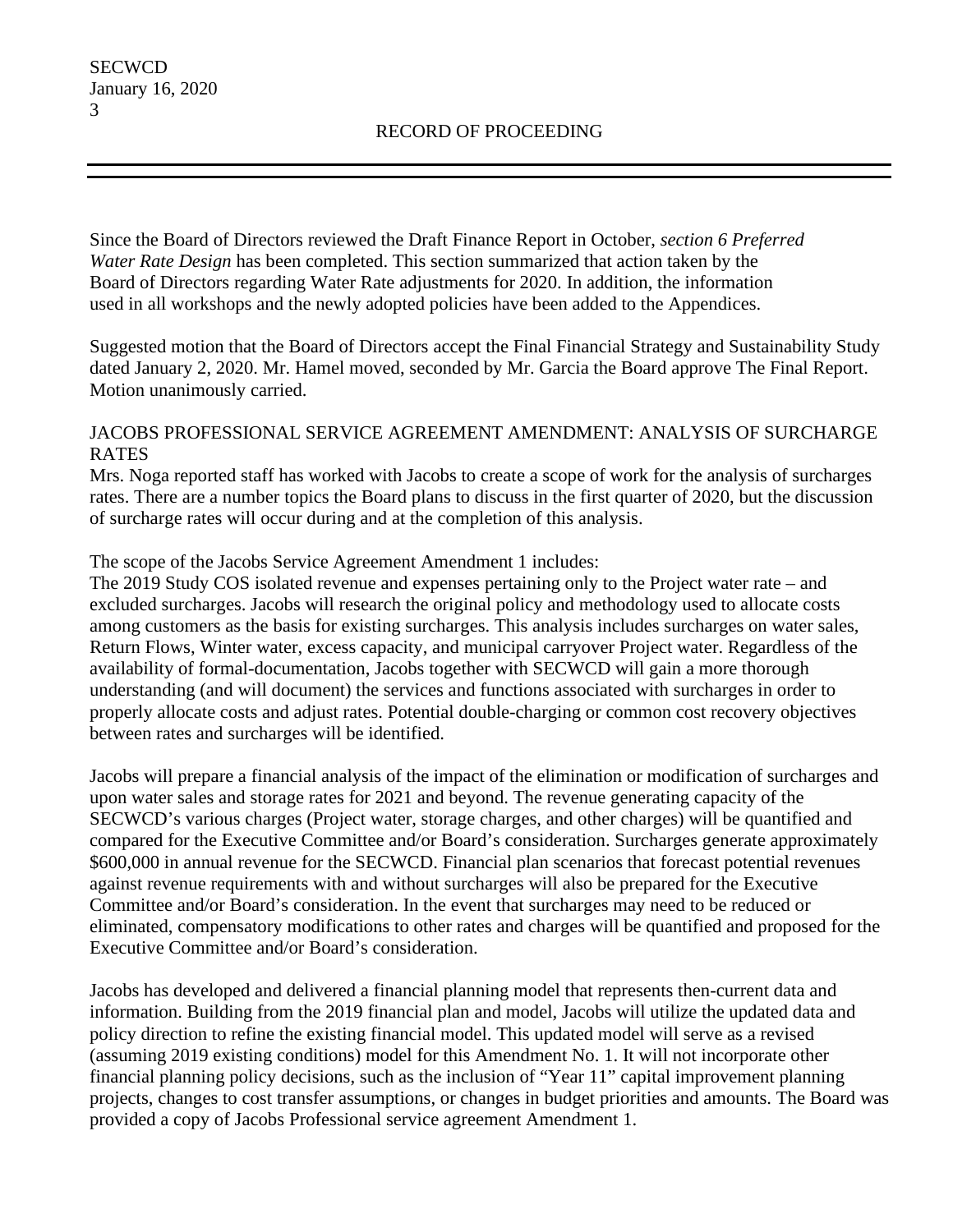**SECWCD** 

3

Since the Board of Directors reviewed the Draft Finance Report in October, *section 6 Preferred Water Rate Design* has been completed. This section summarized that action taken by the Board of Directors regarding Water Rate adjustments for 2020. In addition, the information used in all workshops and the newly adopted policies have been added to the Appendices.

Suggested motion that the Board of Directors accept the Final Financial Strategy and Sustainability Study dated January 2, 2020. Mr. Hamel moved, seconded by Mr. Garcia the Board approve The Final Report. Motion unanimously carried.

# JACOBS PROFESSIONAL SERVICE AGREEMENT AMENDMENT: ANALYSIS OF SURCHARGE RATES

Mrs. Noga reported staff has worked with Jacobs to create a scope of work for the analysis of surcharges rates. There are a number topics the Board plans to discuss in the first quarter of 2020, but the discussion of surcharge rates will occur during and at the completion of this analysis.

The scope of the Jacobs Service Agreement Amendment 1 includes:

The 2019 Study COS isolated revenue and expenses pertaining only to the Project water rate – and excluded surcharges. Jacobs will research the original policy and methodology used to allocate costs among customers as the basis for existing surcharges. This analysis includes surcharges on water sales, Return Flows, Winter water, excess capacity, and municipal carryover Project water. Regardless of the availability of formal-documentation, Jacobs together with SECWCD will gain a more thorough understanding (and will document) the services and functions associated with surcharges in order to properly allocate costs and adjust rates. Potential double-charging or common cost recovery objectives between rates and surcharges will be identified.

Jacobs will prepare a financial analysis of the impact of the elimination or modification of surcharges and upon water sales and storage rates for 2021 and beyond. The revenue generating capacity of the SECWCD's various charges (Project water, storage charges, and other charges) will be quantified and compared for the Executive Committee and/or Board's consideration. Surcharges generate approximately \$600,000 in annual revenue for the SECWCD. Financial plan scenarios that forecast potential revenues against revenue requirements with and without surcharges will also be prepared for the Executive Committee and/or Board's consideration. In the event that surcharges may need to be reduced or eliminated, compensatory modifications to other rates and charges will be quantified and proposed for the Executive Committee and/or Board's consideration.

Jacobs has developed and delivered a financial planning model that represents then-current data and information. Building from the 2019 financial plan and model, Jacobs will utilize the updated data and policy direction to refine the existing financial model. This updated model will serve as a revised (assuming 2019 existing conditions) model for this Amendment No. 1. It will not incorporate other financial planning policy decisions, such as the inclusion of "Year 11" capital improvement planning projects, changes to cost transfer assumptions, or changes in budget priorities and amounts. The Board was provided a copy of Jacobs Professional service agreement Amendment 1.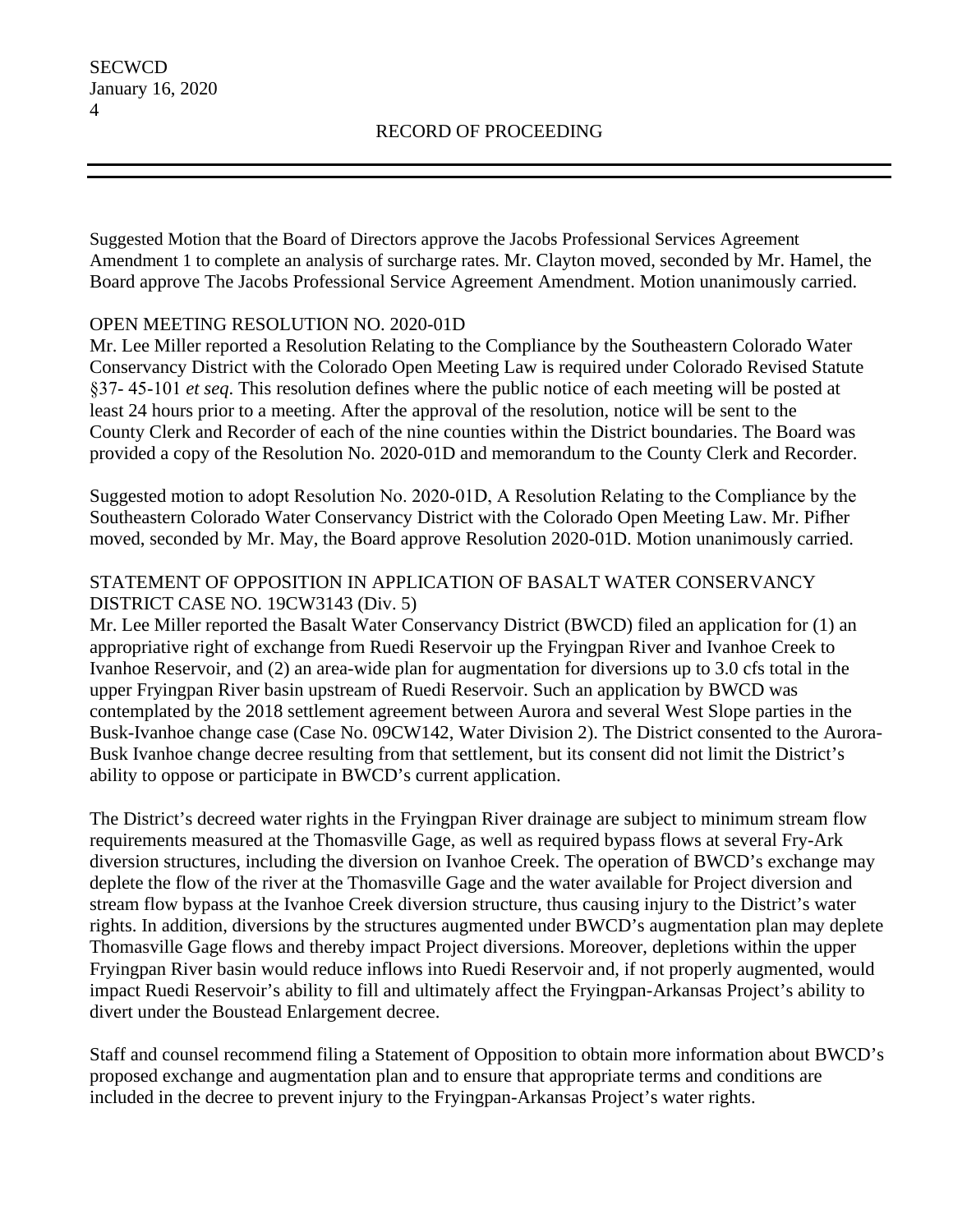Suggested Motion that the Board of Directors approve the Jacobs Professional Services Agreement Amendment 1 to complete an analysis of surcharge rates. Mr. Clayton moved, seconded by Mr. Hamel, the Board approve The Jacobs Professional Service Agreement Amendment. Motion unanimously carried.

# OPEN MEETING RESOLUTION NO. 2020-01D

Mr. Lee Miller reported a Resolution Relating to the Compliance by the Southeastern Colorado Water Conservancy District with the Colorado Open Meeting Law is required under Colorado Revised Statute §37‐ 45‐101 *et seq*. This resolution defines where the public notice of each meeting will be posted at least 24 hours prior to a meeting. After the approval of the resolution, notice will be sent to the County Clerk and Recorder of each of the nine counties within the District boundaries. The Board was provided a copy of the Resolution No. 2020-01D and memorandum to the County Clerk and Recorder.

Suggested motion to adopt Resolution No. 2020‐01D, A Resolution Relating to the Compliance by the Southeastern Colorado Water Conservancy District with the Colorado Open Meeting Law. Mr. Pifher moved, seconded by Mr. May, the Board approve Resolution 2020-01D. Motion unanimously carried.

# STATEMENT OF OPPOSITION IN APPLICATION OF BASALT WATER CONSERVANCY DISTRICT CASE NO. 19CW3143 (Div. 5)

Mr. Lee Miller reported the Basalt Water Conservancy District (BWCD) filed an application for (1) an appropriative right of exchange from Ruedi Reservoir up the Fryingpan River and Ivanhoe Creek to Ivanhoe Reservoir, and (2) an area-wide plan for augmentation for diversions up to 3.0 cfs total in the upper Fryingpan River basin upstream of Ruedi Reservoir. Such an application by BWCD was contemplated by the 2018 settlement agreement between Aurora and several West Slope parties in the Busk-Ivanhoe change case (Case No. 09CW142, Water Division 2). The District consented to the Aurora-Busk Ivanhoe change decree resulting from that settlement, but its consent did not limit the District's ability to oppose or participate in BWCD's current application.

The District's decreed water rights in the Fryingpan River drainage are subject to minimum stream flow requirements measured at the Thomasville Gage, as well as required bypass flows at several Fry-Ark diversion structures, including the diversion on Ivanhoe Creek. The operation of BWCD's exchange may deplete the flow of the river at the Thomasville Gage and the water available for Project diversion and stream flow bypass at the Ivanhoe Creek diversion structure, thus causing injury to the District's water rights. In addition, diversions by the structures augmented under BWCD's augmentation plan may deplete Thomasville Gage flows and thereby impact Project diversions. Moreover, depletions within the upper Fryingpan River basin would reduce inflows into Ruedi Reservoir and, if not properly augmented, would impact Ruedi Reservoir's ability to fill and ultimately affect the Fryingpan-Arkansas Project's ability to divert under the Boustead Enlargement decree.

Staff and counsel recommend filing a Statement of Opposition to obtain more information about BWCD's proposed exchange and augmentation plan and to ensure that appropriate terms and conditions are included in the decree to prevent injury to the Fryingpan-Arkansas Project's water rights.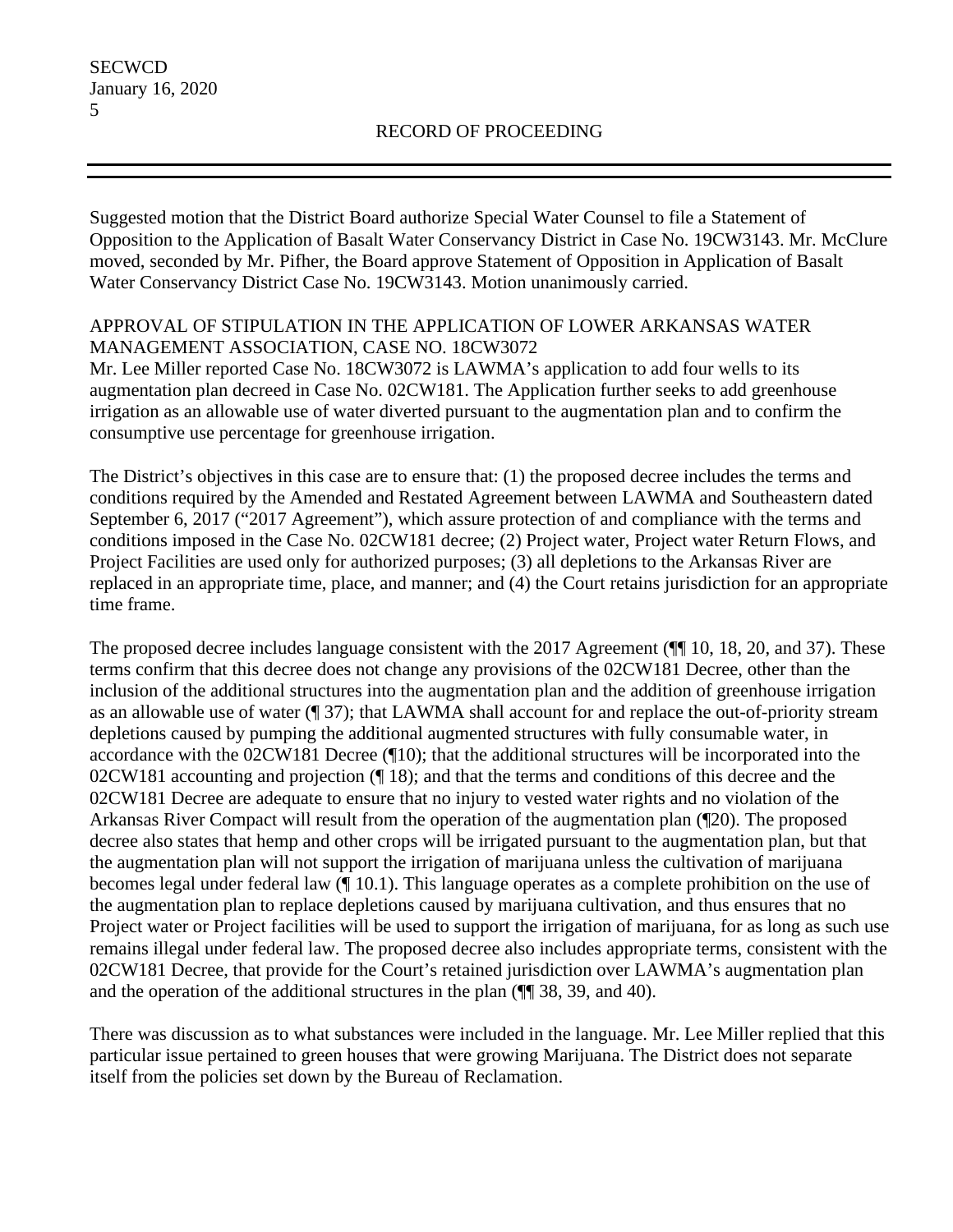Suggested motion that the District Board authorize Special Water Counsel to file a Statement of Opposition to the Application of Basalt Water Conservancy District in Case No. 19CW3143. Mr. McClure moved, seconded by Mr. Pifher, the Board approve Statement of Opposition in Application of Basalt Water Conservancy District Case No. 19CW3143. Motion unanimously carried.

# APPROVAL OF STIPULATION IN THE APPLICATION OF LOWER ARKANSAS WATER MANAGEMENT ASSOCIATION, CASE NO. 18CW3072

Mr. Lee Miller reported Case No. 18CW3072 is LAWMA's application to add four wells to its augmentation plan decreed in Case No. 02CW181. The Application further seeks to add greenhouse irrigation as an allowable use of water diverted pursuant to the augmentation plan and to confirm the consumptive use percentage for greenhouse irrigation.

The District's objectives in this case are to ensure that: (1) the proposed decree includes the terms and conditions required by the Amended and Restated Agreement between LAWMA and Southeastern dated September 6, 2017 ("2017 Agreement"), which assure protection of and compliance with the terms and conditions imposed in the Case No. 02CW181 decree; (2) Project water, Project water Return Flows, and Project Facilities are used only for authorized purposes; (3) all depletions to the Arkansas River are replaced in an appropriate time, place, and manner; and (4) the Court retains jurisdiction for an appropriate time frame.

The proposed decree includes language consistent with the 2017 Agreement ( $\P$ [[10, 18, 20, and 37). These terms confirm that this decree does not change any provisions of the 02CW181 Decree, other than the inclusion of the additional structures into the augmentation plan and the addition of greenhouse irrigation as an allowable use of water (¶ 37); that LAWMA shall account for and replace the out-of-priority stream depletions caused by pumping the additional augmented structures with fully consumable water, in accordance with the 02CW181 Decree (¶10); that the additional structures will be incorporated into the 02CW181 accounting and projection (¶ 18); and that the terms and conditions of this decree and the 02CW181 Decree are adequate to ensure that no injury to vested water rights and no violation of the Arkansas River Compact will result from the operation of the augmentation plan (¶20). The proposed decree also states that hemp and other crops will be irrigated pursuant to the augmentation plan, but that the augmentation plan will not support the irrigation of marijuana unless the cultivation of marijuana becomes legal under federal law (¶ 10.1). This language operates as a complete prohibition on the use of the augmentation plan to replace depletions caused by marijuana cultivation, and thus ensures that no Project water or Project facilities will be used to support the irrigation of marijuana, for as long as such use remains illegal under federal law. The proposed decree also includes appropriate terms, consistent with the 02CW181 Decree, that provide for the Court's retained jurisdiction over LAWMA's augmentation plan and the operation of the additional structures in the plan (¶¶ 38, 39, and 40).

There was discussion as to what substances were included in the language. Mr. Lee Miller replied that this particular issue pertained to green houses that were growing Marijuana. The District does not separate itself from the policies set down by the Bureau of Reclamation.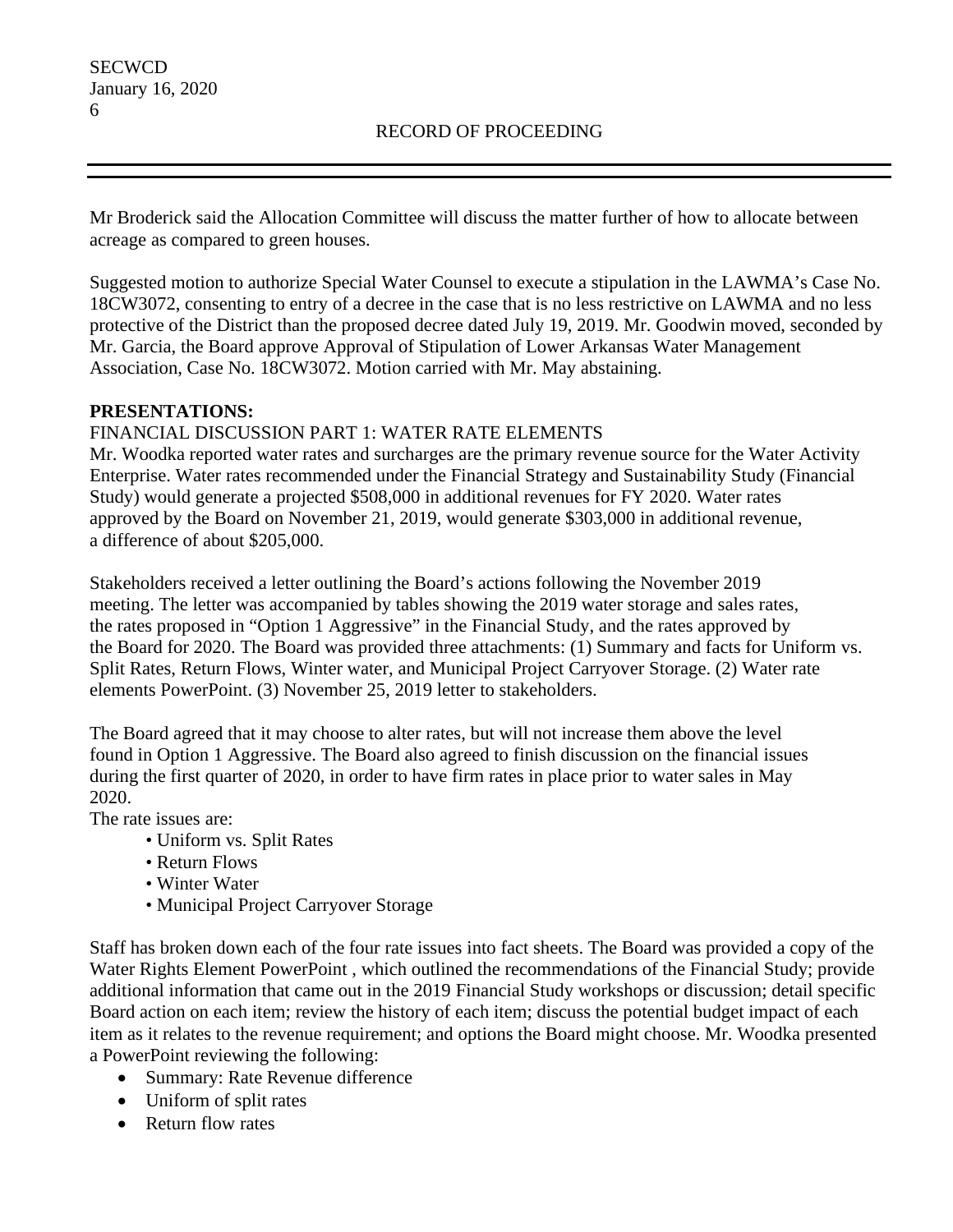Mr Broderick said the Allocation Committee will discuss the matter further of how to allocate between acreage as compared to green houses.

Suggested motion to authorize Special Water Counsel to execute a stipulation in the LAWMA's Case No. 18CW3072, consenting to entry of a decree in the case that is no less restrictive on LAWMA and no less protective of the District than the proposed decree dated July 19, 2019. Mr. Goodwin moved, seconded by Mr. Garcia, the Board approve Approval of Stipulation of Lower Arkansas Water Management Association, Case No. 18CW3072. Motion carried with Mr. May abstaining.

## **PRESENTATIONS:**

# FINANCIAL DISCUSSION PART 1: WATER RATE ELEMENTS

Mr. Woodka reported water rates and surcharges are the primary revenue source for the Water Activity Enterprise. Water rates recommended under the Financial Strategy and Sustainability Study (Financial Study) would generate a projected \$508,000 in additional revenues for FY 2020. Water rates approved by the Board on November 21, 2019, would generate \$303,000 in additional revenue, a difference of about \$205,000.

Stakeholders received a letter outlining the Board's actions following the November 2019 meeting. The letter was accompanied by tables showing the 2019 water storage and sales rates, the rates proposed in "Option 1 Aggressive" in the Financial Study, and the rates approved by the Board for 2020. The Board was provided three attachments: (1) Summary and facts for Uniform vs. Split Rates, Return Flows, Winter water, and Municipal Project Carryover Storage. (2) Water rate elements PowerPoint. (3) November 25, 2019 letter to stakeholders.

The Board agreed that it may choose to alter rates, but will not increase them above the level found in Option 1 Aggressive. The Board also agreed to finish discussion on the financial issues during the first quarter of 2020, in order to have firm rates in place prior to water sales in May 2020.

The rate issues are:

- Uniform vs. Split Rates
- Return Flows
- Winter Water
- Municipal Project Carryover Storage

Staff has broken down each of the four rate issues into fact sheets. The Board was provided a copy of the Water Rights Element PowerPoint , which outlined the recommendations of the Financial Study; provide additional information that came out in the 2019 Financial Study workshops or discussion; detail specific Board action on each item; review the history of each item; discuss the potential budget impact of each item as it relates to the revenue requirement; and options the Board might choose. Mr. Woodka presented a PowerPoint reviewing the following:

- Summary: Rate Revenue difference
- Uniform of split rates
- Return flow rates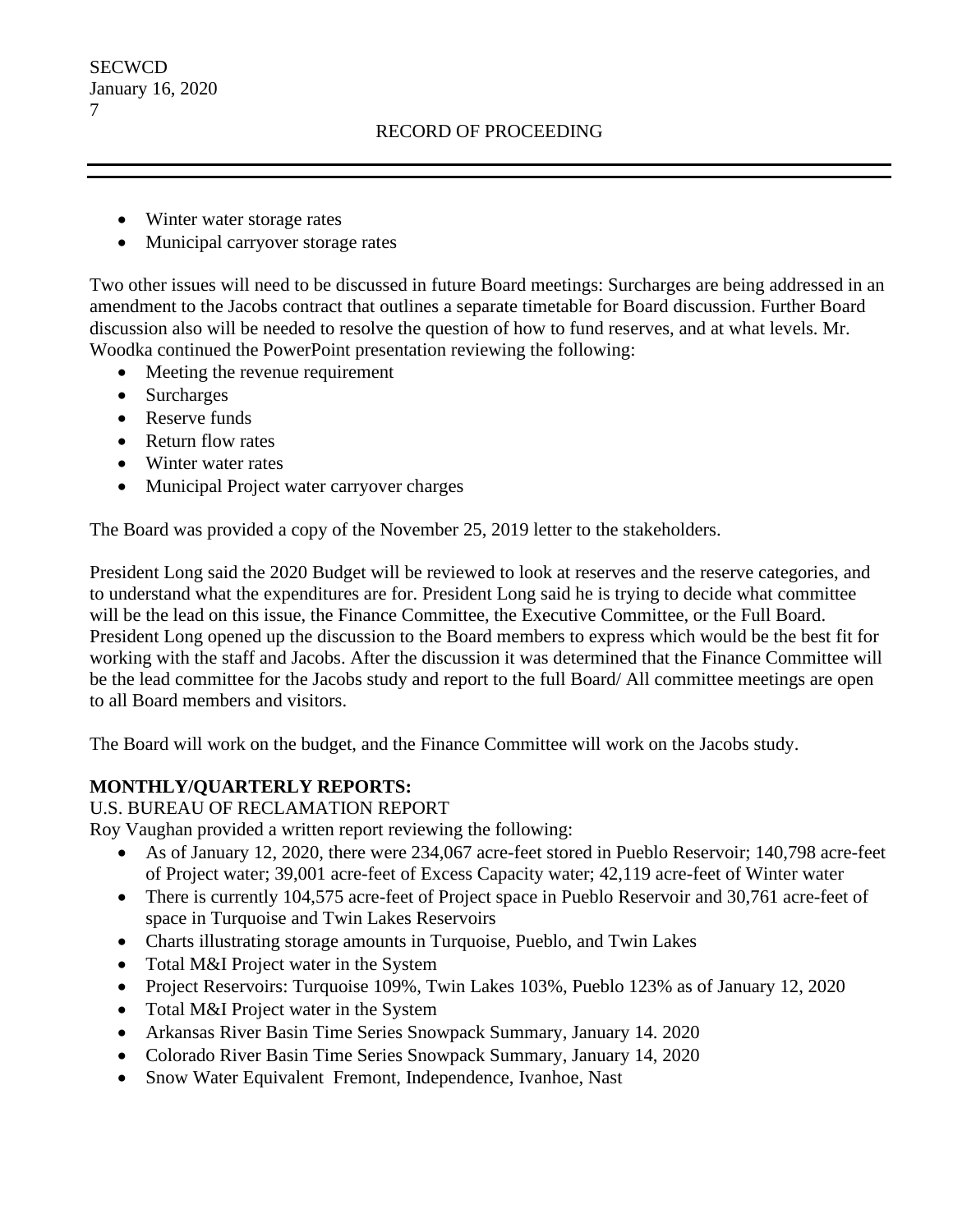**SECWCD** January 16, 2020 7

- Winter water storage rates
- Municipal carryover storage rates

Two other issues will need to be discussed in future Board meetings: Surcharges are being addressed in an amendment to the Jacobs contract that outlines a separate timetable for Board discussion. Further Board discussion also will be needed to resolve the question of how to fund reserves, and at what levels. Mr. Woodka continued the PowerPoint presentation reviewing the following:

- Meeting the revenue requirement
- Surcharges
- Reserve funds
- Return flow rates
- Winter water rates
- Municipal Project water carryover charges

The Board was provided a copy of the November 25, 2019 letter to the stakeholders.

President Long said the 2020 Budget will be reviewed to look at reserves and the reserve categories, and to understand what the expenditures are for. President Long said he is trying to decide what committee will be the lead on this issue, the Finance Committee, the Executive Committee, or the Full Board. President Long opened up the discussion to the Board members to express which would be the best fit for working with the staff and Jacobs. After the discussion it was determined that the Finance Committee will be the lead committee for the Jacobs study and report to the full Board/ All committee meetings are open to all Board members and visitors.

The Board will work on the budget, and the Finance Committee will work on the Jacobs study.

# **MONTHLY/QUARTERLY REPORTS:**

U.S. BUREAU OF RECLAMATION REPORT

Roy Vaughan provided a written report reviewing the following:

- As of January 12, 2020, there were 234,067 acre-feet stored in Pueblo Reservoir; 140,798 acre-feet of Project water; 39,001 acre-feet of Excess Capacity water; 42,119 acre-feet of Winter water
- There is currently 104,575 acre-feet of Project space in Pueblo Reservoir and 30,761 acre-feet of space in Turquoise and Twin Lakes Reservoirs
- Charts illustrating storage amounts in Turquoise, Pueblo, and Twin Lakes
- Total M&I Project water in the System
- Project Reservoirs: Turquoise 109%, Twin Lakes 103%, Pueblo 123% as of January 12, 2020
- Total M&I Project water in the System
- Arkansas River Basin Time Series Snowpack Summary, January 14. 2020
- Colorado River Basin Time Series Snowpack Summary, January 14, 2020
- Snow Water Equivalent Fremont, Independence, Ivanhoe, Nast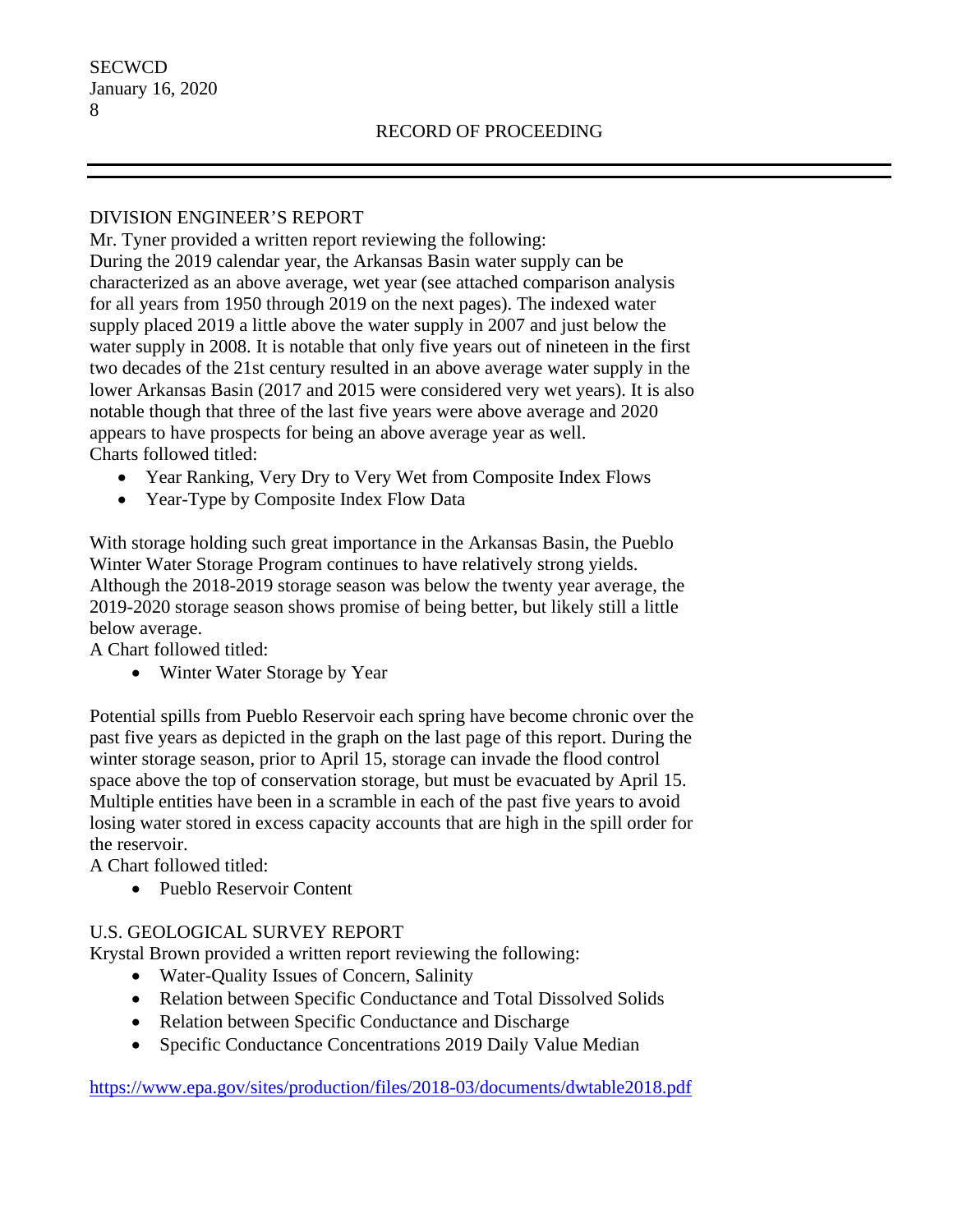## DIVISION ENGINEER'S REPORT

Mr. Tyner provided a written report reviewing the following: During the 2019 calendar year, the Arkansas Basin water supply can be characterized as an above average, wet year (see attached comparison analysis for all years from 1950 through 2019 on the next pages). The indexed water supply placed 2019 a little above the water supply in 2007 and just below the water supply in 2008. It is notable that only five years out of nineteen in the first two decades of the 21st century resulted in an above average water supply in the lower Arkansas Basin (2017 and 2015 were considered very wet years). It is also notable though that three of the last five years were above average and 2020 appears to have prospects for being an above average year as well. Charts followed titled:

- Year Ranking, Very Dry to Very Wet from Composite Index Flows
- Year-Type by Composite Index Flow Data

With storage holding such great importance in the Arkansas Basin, the Pueblo Winter Water Storage Program continues to have relatively strong yields. Although the 2018-2019 storage season was below the twenty year average, the 2019-2020 storage season shows promise of being better, but likely still a little below average.

A Chart followed titled:

• Winter Water Storage by Year

Potential spills from Pueblo Reservoir each spring have become chronic over the past five years as depicted in the graph on the last page of this report. During the winter storage season, prior to April 15, storage can invade the flood control space above the top of conservation storage, but must be evacuated by April 15. Multiple entities have been in a scramble in each of the past five years to avoid losing water stored in excess capacity accounts that are high in the spill order for the reservoir.

A Chart followed titled:

• Pueblo Reservoir Content

# U.S. GEOLOGICAL SURVEY REPORT

Krystal Brown provided a written report reviewing the following:

- Water-Quality Issues of Concern, Salinity
- Relation between Specific Conductance and Total Dissolved Solids
- Relation between Specific Conductance and Discharge
- Specific Conductance Concentrations 2019 Daily Value Median

<https://www.epa.gov/sites/production/files/2018-03/documents/dwtable2018.pdf>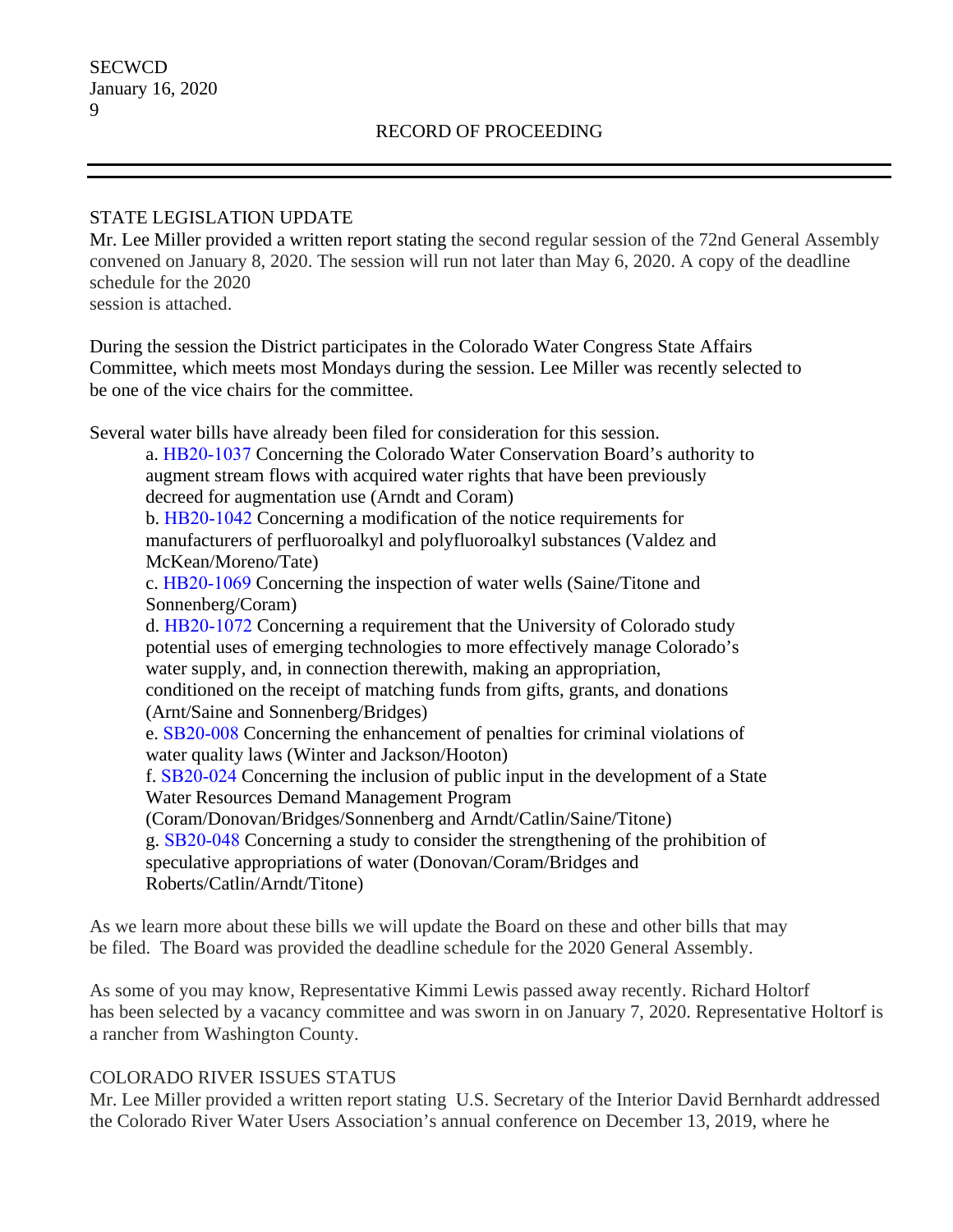## STATE LEGISLATION UPDATE

Mr. Lee Miller provided a written report stating the second regular session of the 72nd General Assembly convened on January 8, 2020. The session will run not later than May 6, 2020. A copy of the deadline schedule for the 2020 session is attached.

During the session the District participates in the Colorado Water Congress State Affairs Committee, which meets most Mondays during the session. Lee Miller was recently selected to be one of the vice chairs for the committee.

Several water bills have already been filed for consideration for this session.

a. HB20‐1037 Concerning the Colorado Water Conservation Board's authority to augment stream flows with acquired water rights that have been previously decreed for augmentation use (Arndt and Coram)

b. HB20‐1042 Concerning a modification of the notice requirements for manufacturers of perfluoroalkyl and polyfluoroalkyl substances (Valdez and McKean/Moreno/Tate)

c. HB20‐1069 Concerning the inspection of water wells (Saine/Titone and Sonnenberg/Coram)

d. HB20‐1072 Concerning a requirement that the University of Colorado study potential uses of emerging technologies to more effectively manage Colorado's water supply, and, in connection therewith, making an appropriation,

conditioned on the receipt of matching funds from gifts, grants, and donations (Arnt/Saine and Sonnenberg/Bridges)

e. SB20‐008 Concerning the enhancement of penalties for criminal violations of water quality laws (Winter and Jackson/Hooton)

f. SB20‐024 Concerning the inclusion of public input in the development of a State Water Resources Demand Management Program

(Coram/Donovan/Bridges/Sonnenberg and Arndt/Catlin/Saine/Titone)

g. SB20‐048 Concerning a study to consider the strengthening of the prohibition of speculative appropriations of water (Donovan/Coram/Bridges and Roberts/Catlin/Arndt/Titone)

As we learn more about these bills we will update the Board on these and other bills that may be filed. The Board was provided the deadline schedule for the 2020 General Assembly.

As some of you may know, Representative Kimmi Lewis passed away recently. Richard Holtorf has been selected by a vacancy committee and was sworn in on January 7, 2020. Representative Holtorf is a rancher from Washington County.

# COLORADO RIVER ISSUES STATUS

Mr. Lee Miller provided a written report stating U.S. Secretary of the Interior David Bernhardt addressed the Colorado River Water Users Association's annual conference on December 13, 2019, where he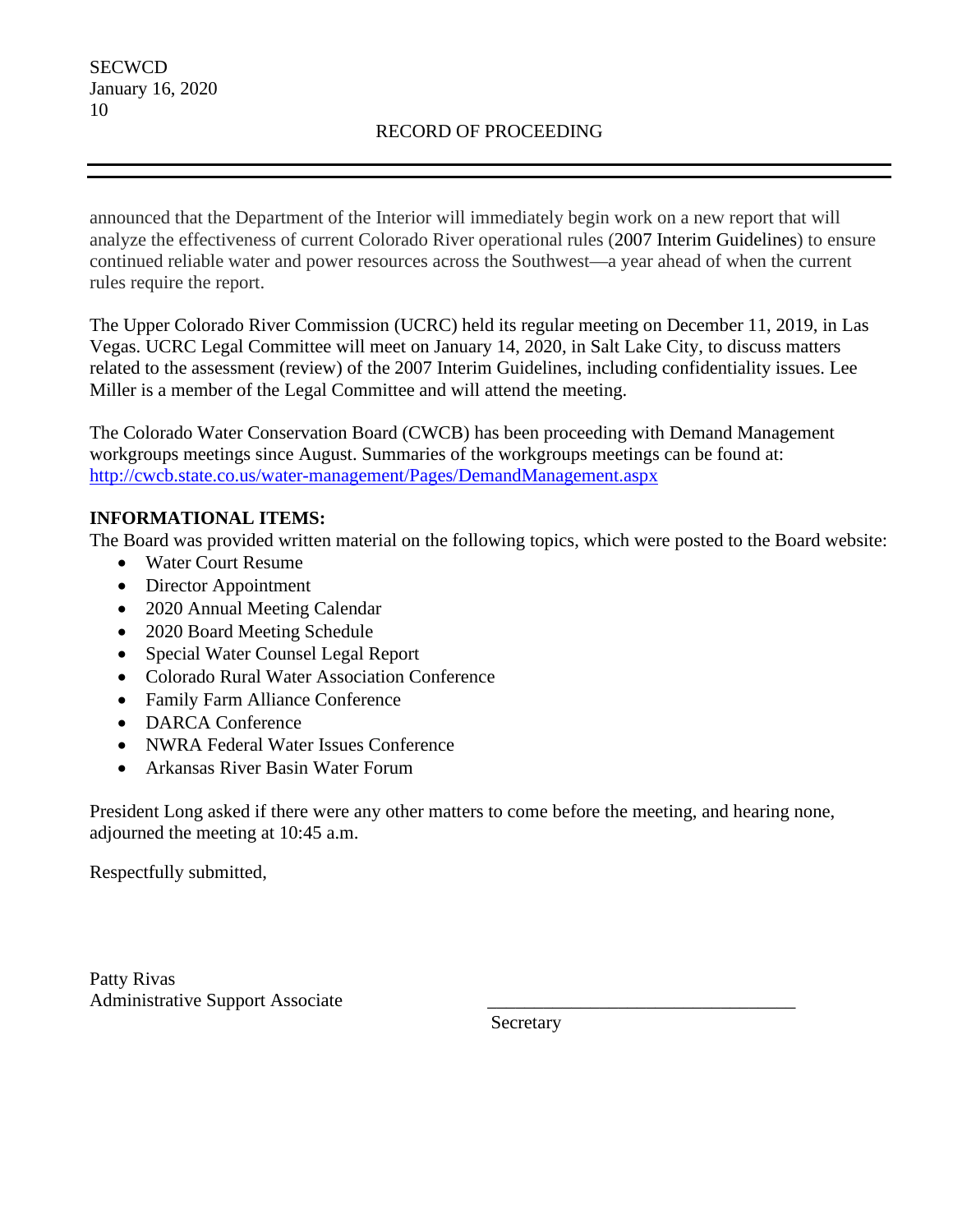announced that the Department of the Interior will immediately begin work on a new report that will analyze the effectiveness of current Colorado River operational rules (2007 Interim Guidelines) to ensure continued reliable water and power resources across the Southwest—a year ahead of when the current rules require the report.

The Upper Colorado River Commission (UCRC) held its regular meeting on December 11, 2019, in Las Vegas. UCRC Legal Committee will meet on January 14, 2020, in Salt Lake City, to discuss matters related to the assessment (review) of the 2007 Interim Guidelines, including confidentiality issues. Lee Miller is a member of the Legal Committee and will attend the meeting.

The Colorado Water Conservation Board (CWCB) has been proceeding with Demand Management workgroups meetings since August. Summaries of the workgroups meetings can be found at: <http://cwcb.state.co.us/water-management/Pages/DemandManagement.aspx>

# **INFORMATIONAL ITEMS:**

The Board was provided written material on the following topics, which were posted to the Board website:

- Water Court Resume
- Director Appointment
- 2020 Annual Meeting Calendar
- 2020 Board Meeting Schedule
- Special Water Counsel Legal Report
- Colorado Rural Water Association Conference
- Family Farm Alliance Conference
- DARCA Conference
- NWRA Federal Water Issues Conference
- Arkansas River Basin Water Forum

President Long asked if there were any other matters to come before the meeting, and hearing none, adjourned the meeting at 10:45 a.m.

Respectfully submitted,

Patty Rivas Administrative Support Associate \_\_\_\_\_\_\_\_\_\_\_\_\_\_\_\_\_\_\_\_\_\_\_\_\_\_\_\_\_\_\_\_\_

Secretary